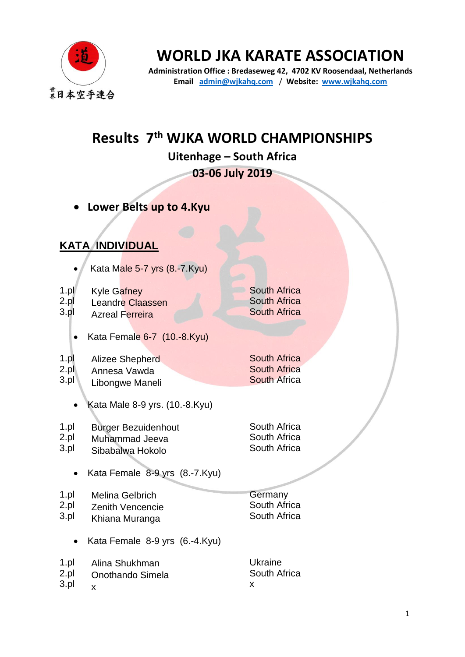

# **WORLD JKA KARATE ASSOCIATION**

**Administration Office : Bredaseweg 42, 4702 KV Roosendaal, Netherlands Email [admin@wjkahq.com](mailto:admin@wjkahq.com)** / **Website: [www.wjkahq.com](http://www.wjkahq.com/)**

## **Results 7th WJKA WORLD CHAMPIONSHIPS**

**Uitenhage – South Africa**

**03-06 July 2019**

• **Lower Belts up to 4.Kyu**

#### **KATA INDIVIDUAL**

|                         | Kata Male 5-7 yrs (8.-7. Kyu)                                           |                                                                   |
|-------------------------|-------------------------------------------------------------------------|-------------------------------------------------------------------|
| $1$ .pl<br>2.pl<br>3.pl | <b>Kyle Gafney</b><br><b>Leandre Claassen</b><br><b>Azreal Ferreira</b> | <b>South Africa</b><br><b>South Africa</b><br><b>South Africa</b> |
|                         | Kata Female 6-7 (10.-8.Kyu)                                             |                                                                   |
| 1.pl<br>2.pl<br>3.pl    | Alizee Shepherd<br>Annesa Vawda<br>Libongwe Maneli                      | <b>South Africa</b><br><b>South Africa</b><br><b>South Africa</b> |
|                         | Kata Male 8-9 yrs. (10.-8. Kyu)                                         |                                                                   |
| 1.pl<br>2.pl<br>3.pl    | <b>Burger Bezuidenhout</b><br>Muhammad Jeeva<br>Sibabalwa Hokolo        | South Africa<br>South Africa<br>South Africa                      |
|                         | Kata Female 8-9 yrs (8.-7.Kyu)                                          |                                                                   |
| 1.pl<br>2.pl<br>3.pl    | <b>Melina Gelbrich</b><br><b>Zenith Vencencie</b><br>Khiana Muranga     | Germany<br>South Africa<br>South Africa                           |
|                         | Kata Female 8-9 yrs (6.-4.Kyu)                                          |                                                                   |
| 1.pl<br>2.pl<br>3.pl    | Alina Shukhman<br>Onothando Simela<br>X                                 | <b>Ukraine</b><br>South Africa<br>X                               |
|                         |                                                                         |                                                                   |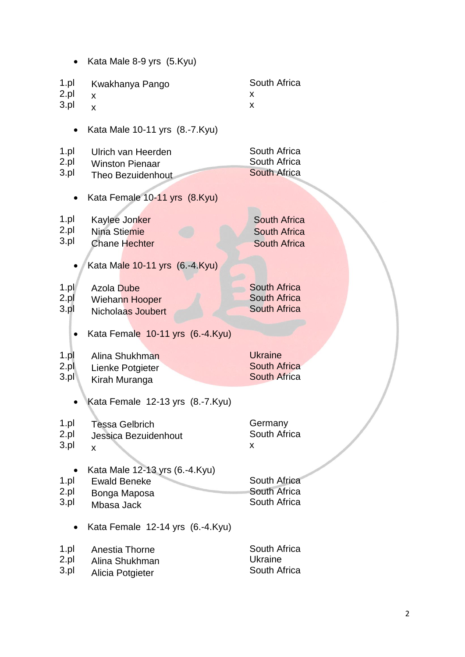| $\bullet$               | Kata Male 8-9 yrs (5.Kyu)                                                               |                                                                   |
|-------------------------|-----------------------------------------------------------------------------------------|-------------------------------------------------------------------|
| 1.pl<br>2.pl<br>3.pl    | Kwakhanya Pango<br>X<br>$\mathsf{x}$                                                    | South Africa<br>X<br>X                                            |
| $\bullet$               | Kata Male 10-11 yrs (8.-7.Kyu)                                                          |                                                                   |
| 1.pl<br>2.pl<br>3.pl    | Ulrich van Heerden<br><b>Winston Pienaar</b><br><b>Theo Bezuidenhout</b>                | South Africa<br>South Africa<br><b>South Africa</b>               |
|                         | Kata Female 10-11 yrs (8.Kyu)                                                           |                                                                   |
| 1.pl<br>2.pl<br>3.pl    | Kaylee Jonker<br>Nina Stiemie<br><b>Chane Hechter</b><br>Kata Male 10-11 yrs (6.-4.Kyu) | <b>South Africa</b><br><b>South Africa</b><br><b>South Africa</b> |
| 1.pl<br>2.pl<br>3.pl    | <b>Azola Dube</b><br>Wiehann Hooper<br><b>Nicholaas Joubert</b>                         | <b>South Africa</b><br><b>South Africa</b><br><b>South Africa</b> |
| $\bullet$               | Kata Female 10-11 yrs (6.-4.Kyu)                                                        |                                                                   |
| 1.pl<br>$2$ .pl<br>3.pl | Alina Shukhman<br>Lienke Potgieter<br>Kirah Muranga                                     | <b>Ukraine</b><br><b>South Africa</b><br><b>South Africa</b>      |
|                         | Kata Female 12-13 yrs (8.-7.Kyu)                                                        |                                                                   |
| 1.pl<br>2.pl<br>3.pl    | <b>Tessa Gelbrich</b><br>Jessica Bezuidenhout<br>X                                      | Germany<br>South Africa<br>X                                      |
| 1.pl<br>2.pl<br>3.pl    | Kata Male 12-13 yrs (6.-4.Kyu)<br><b>Ewald Beneke</b><br>Bonga Maposa<br>Mbasa Jack     | South Africa<br>South Africa<br>South Africa                      |
|                         | Kata Female 12-14 yrs (6.-4.Kyu)                                                        |                                                                   |
| 1.pl<br>2.pl<br>3.pl    | Anestia Thorne<br>Alina Shukhman<br>Alicia Potgieter                                    | South Africa<br><b>Ukraine</b><br>South Africa                    |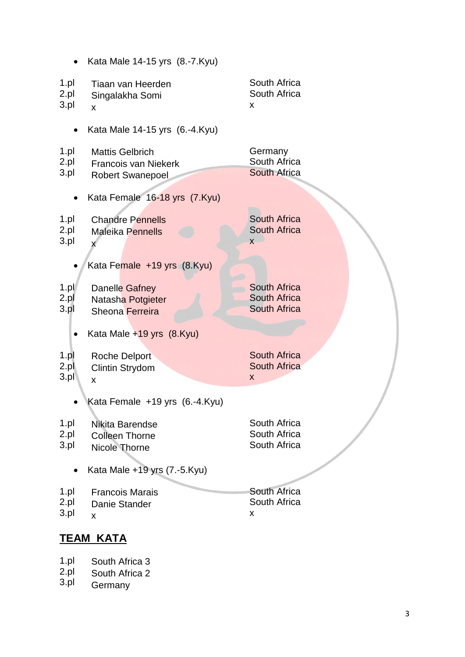| $\bullet$ | Kata Male 14-15 yrs (8.-7.Kyu) |                     |
|-----------|--------------------------------|---------------------|
| 1.pl      | Tiaan van Heerden              | South Africa        |
| 2.pl      | Singalakha Somi                | South Africa        |
| 3.pl      | X                              | X                   |
|           | Kata Male 14-15 yrs (6.-4.Kyu) |                     |
| 1.pl      | <b>Mattis Gelbrich</b>         | Germany             |
| 2.pl      | <b>Francois van Niekerk</b>    | South Africa        |
| 3.pl      | <b>Robert Swanepoel</b>        | <b>South Africa</b> |
| ٠         | Kata Female 16-18 yrs (7.Kyu)  |                     |
| 1.pl      | <b>Chandre Pennells</b>        | <b>South Africa</b> |
| 2.pl      | <b>Maleika Pennells</b>        | <b>South Africa</b> |
| 3.pl      | x                              | X                   |
|           | Kata Female +19 yrs (8.Kyu)    |                     |
| 1.pl      | <b>Danelle Gafney</b>          | <b>South Africa</b> |
| 2.pl      | Natasha Potgieter              | <b>South Africa</b> |
| 3.pl      | <b>Sheona Ferreira</b>         | <b>South Africa</b> |
| ٠         | Kata Male +19 yrs (8.Kyu)      |                     |
| 1.pl      | <b>Roche Delport</b>           | <b>South Africa</b> |
| 2.pl      | Clintin Strydom                | <b>South Africa</b> |
| 3.pl      | X                              | X.                  |
|           | Kata Female +19 yrs (6.-4.Kyu) |                     |
| 1.pl      | Nikita Barendse                | South Africa        |
| 2.pl      | <b>Colleen Thorne</b>          | South Africa        |
| 3.pl      | Nicole Thorne                  | South Africa        |
|           | Kata Male +19 yrs (7.-5.Kyu)   |                     |
| 1.pl      | <b>Francois Marais</b>         | South Africa        |
| 2.pl      | Danie Stander                  | South Africa        |
| 3.pl      | X                              | x                   |

### **TEAM KATA**

- 1.pl South Africa 3
- 2.pl South Africa 2
- 3.pl **Germany**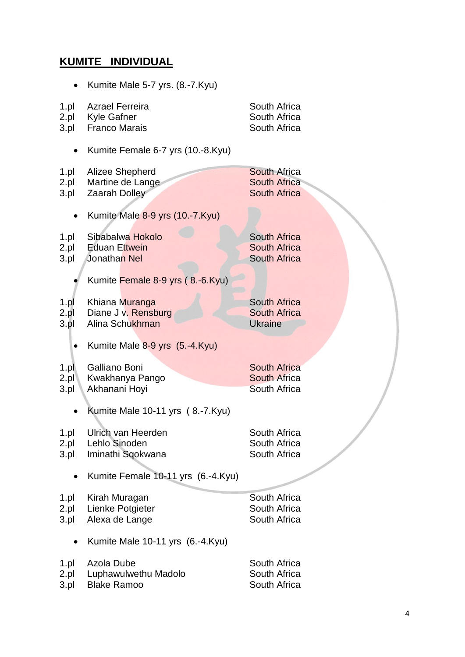#### **KUMITE INDIVIDUAL**

|                                  | Kumite Male 5-7 yrs. (8.-7.Kyu)    |                     |  |
|----------------------------------|------------------------------------|---------------------|--|
| 1.pl                             | <b>Azrael Ferreira</b>             | South Africa        |  |
| 2.pl                             | <b>Kyle Gafner</b>                 | South Africa        |  |
| $3$ .pl                          | <b>Franco Marais</b>               | South Africa        |  |
|                                  | Kumite Female 6-7 yrs (10.-8.Kyu)  |                     |  |
| 1.pl                             | <b>Alizee Shepherd</b>             | <b>South Africa</b> |  |
| 2.pl                             | Martine de Lange                   | <b>South Africa</b> |  |
| 3.pl                             | <b>Zaarah Dolley</b>               | <b>South Africa</b> |  |
|                                  | Kumite Male 8-9 yrs (10.-7.Kyu)    |                     |  |
| 1.pl                             | Sibabalwa Hokolo                   | <b>South Africa</b> |  |
| 2.pl                             | <b>Eduan Ettwein</b>               | <b>South Africa</b> |  |
| 3.pl                             | Jonathan Nel                       | <b>South Africa</b> |  |
|                                  | Kumite Female 8-9 yrs (8.-6.Kyu)   |                     |  |
| $1$ .pl                          | Khiana Muranga                     | <b>South Africa</b> |  |
| 2.pl                             | Diane J v. Rensburg                | <b>South Africa</b> |  |
| 3.pl                             | Alina Schukhman                    | <b>Ukraine</b>      |  |
|                                  | Kumite Male 8-9 yrs (5.-4.Kyu)     |                     |  |
| $1$ .pl                          | Galliano Boni                      | <b>South Africa</b> |  |
| 2.pl                             | Kwakhanya Pango                    | <b>South Africa</b> |  |
| 3.pl                             | Akhanani Hoyi                      | South Africa        |  |
| Kumite Male 10-11 yrs (8.-7.Kyu) |                                    |                     |  |
| 1.pl                             | Ulrich van Heerden                 | South Africa        |  |
| 2.pl                             | Lehlo Sinoden                      | South Africa        |  |
| 3.pl                             | Iminathi Sqokwana                  | South Africa        |  |
|                                  | Kumite Female 10-11 yrs (6.-4.Kyu) |                     |  |
| 1.pl                             | Kirah Muragan                      | South Africa        |  |
| 2.pl                             | Lienke Potgieter                   | South Africa        |  |
| 3.pl                             | Alexa de Lange                     | South Africa        |  |
|                                  | Kumite Male 10-11 yrs (6.-4.Kyu)   |                     |  |
| 1.pl                             | <b>Azola Dube</b>                  | South Africa        |  |
| 2.pl                             | Luphawulwethu Madolo               | South Africa        |  |
| 3.pl                             | <b>Blake Ramoo</b>                 | South Africa        |  |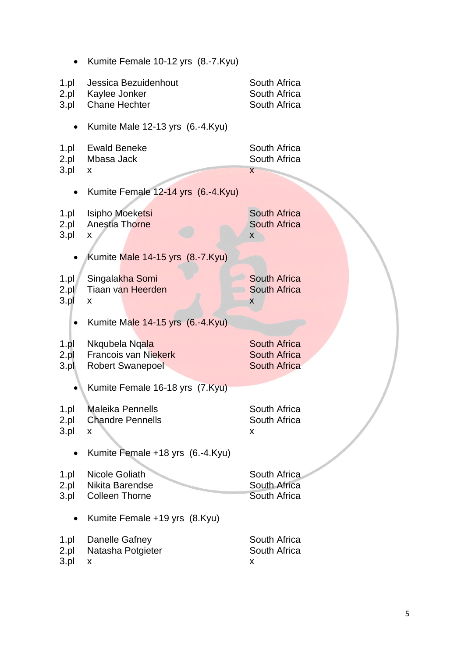| $\bullet$ | Kumite Female 10-12 yrs (8.-7.Kyu) |                     |
|-----------|------------------------------------|---------------------|
| 1.pl      | Jessica Bezuidenhout               | South Africa        |
| 2.pl      | Kaylee Jonker                      | South Africa        |
| 3.pl      | <b>Chane Hechter</b>               | South Africa        |
|           | Kumite Male 12-13 yrs (6.-4.Kyu)   |                     |
| 1.pl      | <b>Ewald Beneke</b>                | South Africa        |
| 2.pl      | Mbasa Jack                         | South Africa        |
| 3.pl      | X                                  | X                   |
|           | Kumite Female 12-14 yrs (6.-4.Kyu) |                     |
| 1.pl      | Isipho Moeketsi                    | <b>South Africa</b> |
| 2.pl      | Anestia Thorne                     | <b>South Africa</b> |
| 3.pl      | X                                  | X                   |
|           | Kumite Male 14-15 yrs (8.-7.Kyu)   |                     |
| 1.pl      | Singalakha Somi                    | <b>South Africa</b> |
| 2.pl      | Tiaan van Heerden                  | <b>South Africa</b> |
| $3$ .pl   | X                                  | X                   |
| $\bullet$ | Kumite Male 14-15 yrs (6.-4.Kyu)   |                     |
| 1.pl      | Nkqubela Nqala                     | <b>South Africa</b> |
| 2.pl      | <b>Francois van Niekerk</b>        | South Africa        |
| $3$ .pl   | <b>Robert Swanepoel</b>            | South Africa        |
| $\bullet$ | Kumite Female 16-18 yrs (7.Kyu)    |                     |
| 1.pl      | <b>Maleika Pennells</b>            | South Africa        |
| 2.pl      | <b>Chandre Pennells</b>            | South Africa        |
| 3.pl      | X                                  | X                   |
|           | Kumite Female +18 yrs (6.-4.Kyu)   |                     |
| 1.pl      | Nicole Goliath                     | South Africa        |
| 2.pl      | Nikita Barendse                    | South Africa        |
| 3.pl      | <b>Colleen Thorne</b>              | South Africa        |
|           | Kumite Female +19 yrs (8.Kyu)      |                     |
| 1.pl      | Danelle Gafney                     | South Africa        |
| 2.pl      | Natasha Potgieter                  | South Africa        |
| 3.pl      | X                                  | X                   |